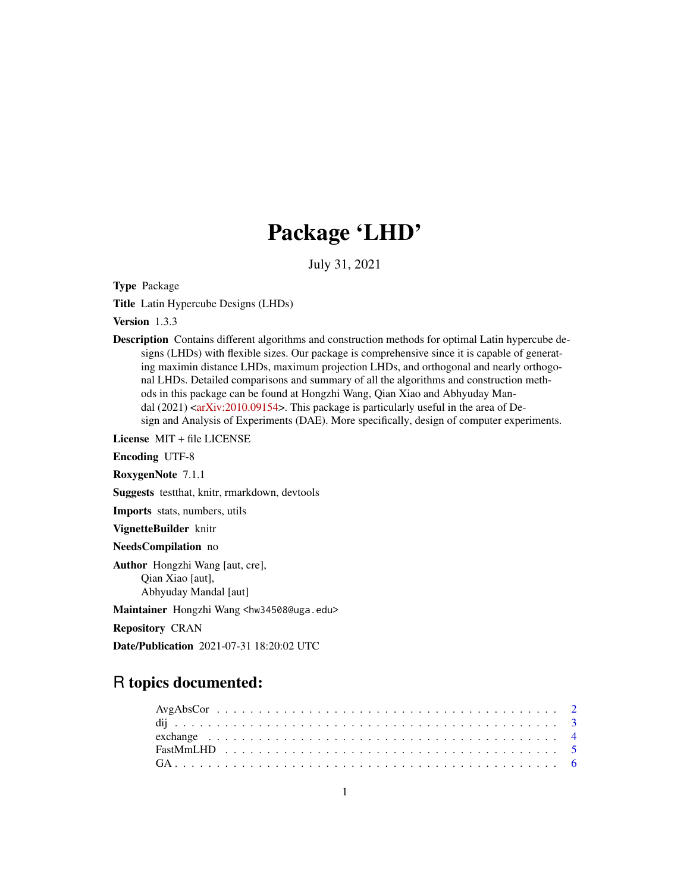# Package 'LHD'

July 31, 2021

Type Package

Title Latin Hypercube Designs (LHDs)

Version 1.3.3

Description Contains different algorithms and construction methods for optimal Latin hypercube designs (LHDs) with flexible sizes. Our package is comprehensive since it is capable of generating maximin distance LHDs, maximum projection LHDs, and orthogonal and nearly orthogonal LHDs. Detailed comparisons and summary of all the algorithms and construction methods in this package can be found at Hongzhi Wang, Qian Xiao and Abhyuday Mandal  $(2021)$  [<arXiv:2010.09154>](https://arxiv.org/abs/2010.09154). This package is particularly useful in the area of Design and Analysis of Experiments (DAE). More specifically, design of computer experiments.

License MIT + file LICENSE

Encoding UTF-8

RoxygenNote 7.1.1

Suggests testthat, knitr, rmarkdown, devtools

Imports stats, numbers, utils

VignetteBuilder knitr

NeedsCompilation no

Author Hongzhi Wang [aut, cre], Qian Xiao [aut], Abhyuday Mandal [aut]

Maintainer Hongzhi Wang <hw34508@uga.edu>

Repository CRAN

Date/Publication 2021-07-31 18:20:02 UTC

# R topics documented: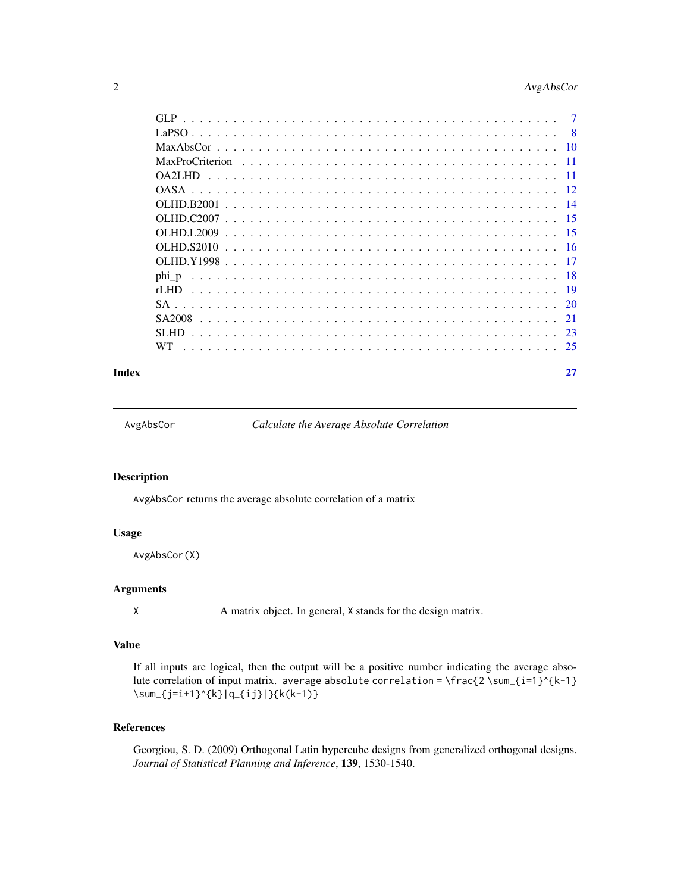# <span id="page-1-0"></span>2 AvgAbsCor

|       | -8  |
|-------|-----|
|       |     |
|       |     |
|       | -11 |
|       |     |
|       |     |
|       |     |
|       |     |
|       |     |
|       |     |
| phi p |     |
| rLHD  |     |
|       |     |
|       | -21 |
|       | 23  |
| WT.   | 25  |
|       |     |

#### **Index** [27](#page-26-0)

AvgAbsCor *Calculate the Average Absolute Correlation*

# Description

AvgAbsCor returns the average absolute correlation of a matrix

# Usage

AvgAbsCor(X)

# Arguments

X A matrix object. In general, X stands for the design matrix.

# Value

If all inputs are logical, then the output will be a positive number indicating the average absolute correlation of input matrix. average absolute correlation = \frac{2 \sum\_{i=1}^{k-1} \sum\_{j=i+1}^{k}|q\_{ij}|}{k(k-1)}

# References

Georgiou, S. D. (2009) Orthogonal Latin hypercube designs from generalized orthogonal designs. *Journal of Statistical Planning and Inference*, 139, 1530-1540.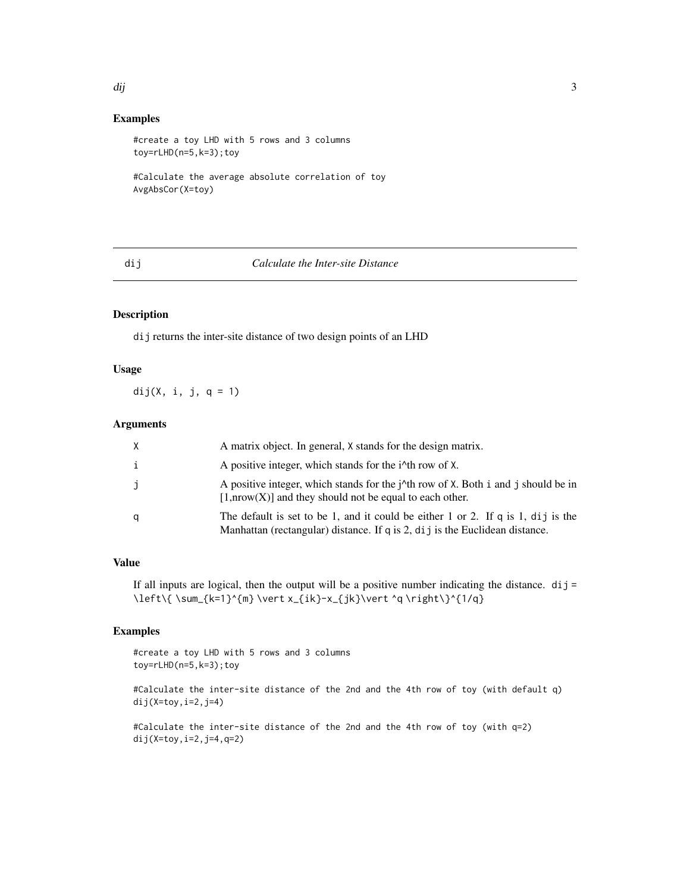#### <span id="page-2-0"></span>dij 33 die eeu n.C. Eeu n.C. Eeu n.C. Eeu n.C. Eeu n.C. Eeu n.C. Eeu n.C. Eeu n.C. Eeu n.C. Eeu n.C. Eeu n.C.

# Examples

```
#create a toy LHD with 5 rows and 3 columns
toy=rLHD(n=5,k=3);toy
```

```
#Calculate the average absolute correlation of toy
AvgAbsCor(X=toy)
```
#### dij *Calculate the Inter-site Distance*

# Description

dij returns the inter-site distance of two design points of an LHD

### Usage

dij(X, i, j,  $q = 1$ )

# Arguments

| X | A matrix object. In general, X stands for the design matrix.                                                                                                                 |
|---|------------------------------------------------------------------------------------------------------------------------------------------------------------------------------|
| i | A positive integer, which stands for the i <sup><math>\lambda</math></sup> th row of X.                                                                                      |
| Ĵ | A positive integer, which stands for the $\dot{\gamma}$ <sup>th</sup> row of X. Both i and j should be in<br>$[1,\text{now}(X)]$ and they should not be equal to each other. |
| q | The default is set to be 1, and it could be either 1 or 2. If q is 1, dij is the<br>Manhattan (rectangular) distance. If q is 2, dij is the Euclidean distance.              |

# Value

If all inputs are logical, then the output will be a positive number indicating the distance.  $\text{d}i \text{ }j =$ \left\{\sum\_{k=1}^{m} \vert x\_{ik}-x\_{jk}\vert ^q \right\}^{1/q}

# Examples

#create a toy LHD with 5 rows and 3 columns toy=rLHD(n=5,k=3);toy

#Calculate the inter-site distance of the 2nd and the 4th row of toy (with default q)  $dij(X=toy, i=2, j=4)$ 

#Calculate the inter-site distance of the 2nd and the 4th row of toy (with q=2) dij(X=toy,i=2,j=4,q=2)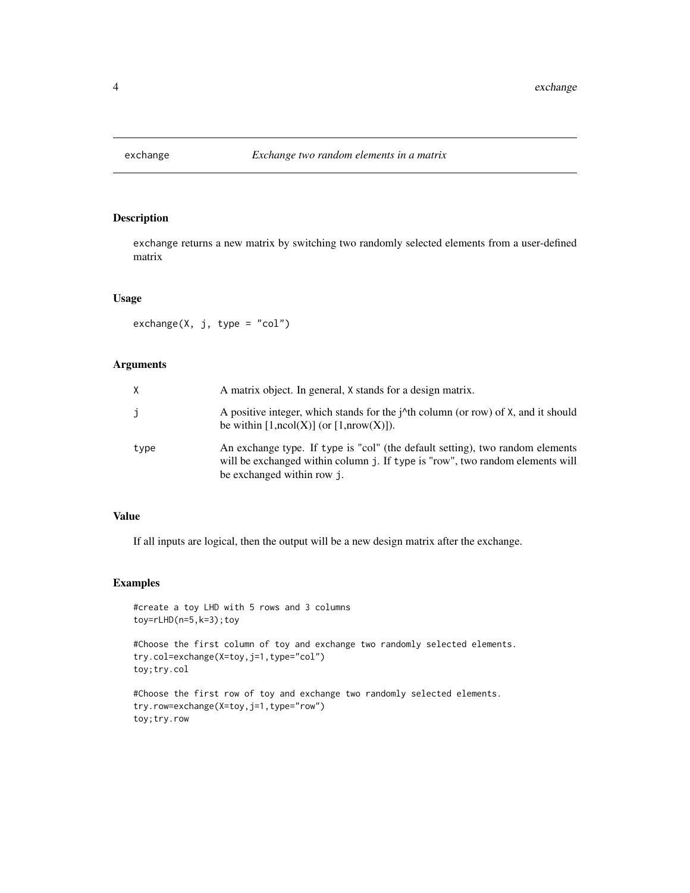<span id="page-3-0"></span>

# Description

exchange returns a new matrix by switching two randomly selected elements from a user-defined matrix

#### Usage

 $exchange(X, j, type = "col")$ 

# Arguments

| Χ    | A matrix object. In general, X stands for a design matrix.                                                                                                                                   |
|------|----------------------------------------------------------------------------------------------------------------------------------------------------------------------------------------------|
| j    | A positive integer, which stands for the <i>i</i> <sup>1</sup> th column (or row) of X, and it should<br>be within $[1,\text{ncol}(X)]$ (or $[1,\text{nrow}(X)]$ ).                          |
| type | An exchange type. If type is "col" (the default setting), two random elements<br>will be exchanged within column j. If type is "row", two random elements will<br>be exchanged within row j. |

#### Value

If all inputs are logical, then the output will be a new design matrix after the exchange.

# Examples

```
#create a toy LHD with 5 rows and 3 columns
toy=rLHD(n=5,k=3);toy
#Choose the first column of toy and exchange two randomly selected elements.
try.col=exchange(X=toy,j=1,type="col")
toy;try.col
#Choose the first row of toy and exchange two randomly selected elements.
try.row=exchange(X=toy,j=1,type="row")
toy;try.row
```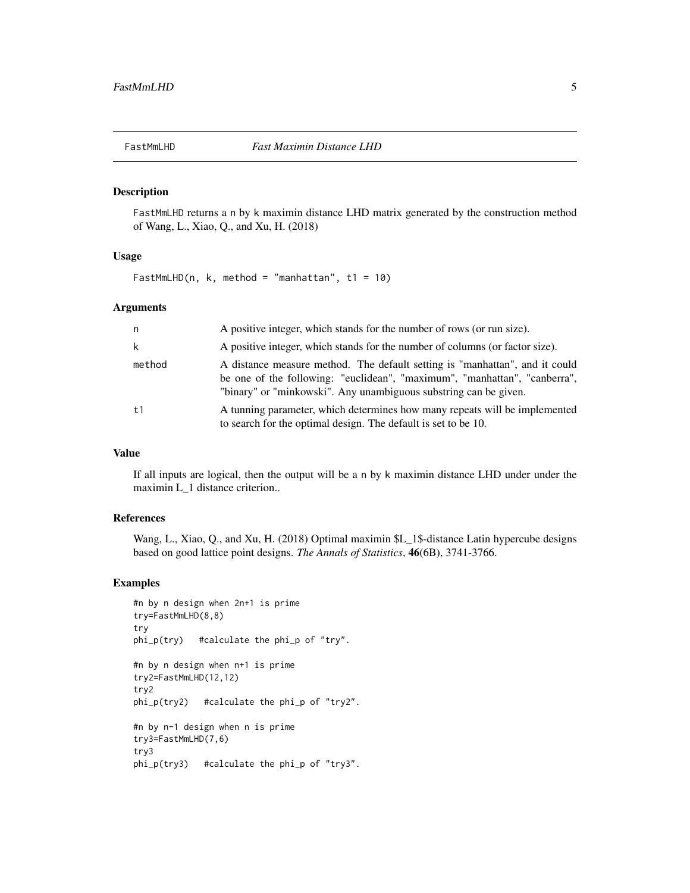<span id="page-4-0"></span>

# Description

FastMmLHD returns a n by k maximin distance LHD matrix generated by the construction method of Wang, L., Xiao, Q., and Xu, H. (2018)

#### Usage

FastMmLHD(n, k, method = "manhattan", t1 = 10)

#### Arguments

| n.     | A positive integer, which stands for the number of rows (or run size).                                                                                                                                                       |
|--------|------------------------------------------------------------------------------------------------------------------------------------------------------------------------------------------------------------------------------|
| k      | A positive integer, which stands for the number of columns (or factor size).                                                                                                                                                 |
| method | A distance measure method. The default setting is "manhattan", and it could<br>be one of the following: "euclidean", "maximum", "manhattan", "canberra",<br>"binary" or "minkowski". Any unambiguous substring can be given. |
| t1     | A tunning parameter, which determines how many repeats will be implemented<br>to search for the optimal design. The default is set to be 10.                                                                                 |

# Value

If all inputs are logical, then the output will be a n by k maximin distance LHD under under the maximin L\_1 distance criterion..

#### References

Wang, L., Xiao, Q., and Xu, H. (2018) Optimal maximin \$L\_1\$-distance Latin hypercube designs based on good lattice point designs. *The Annals of Statistics*, 46(6B), 3741-3766.

# Examples

```
#n by n design when 2n+1 is prime
try=FastMmLHD(8,8)
try
phi_p(try) #calculate the phi_p of "try".
#n by n design when n+1 is prime
try2=FastMmLHD(12,12)
try2
phi_p(try2) #calculate the phi_p of "try2".
#n by n-1 design when n is prime
try3=FastMmLHD(7,6)
try3
phi_p(try3) #calculate the phi_p of "try3".
```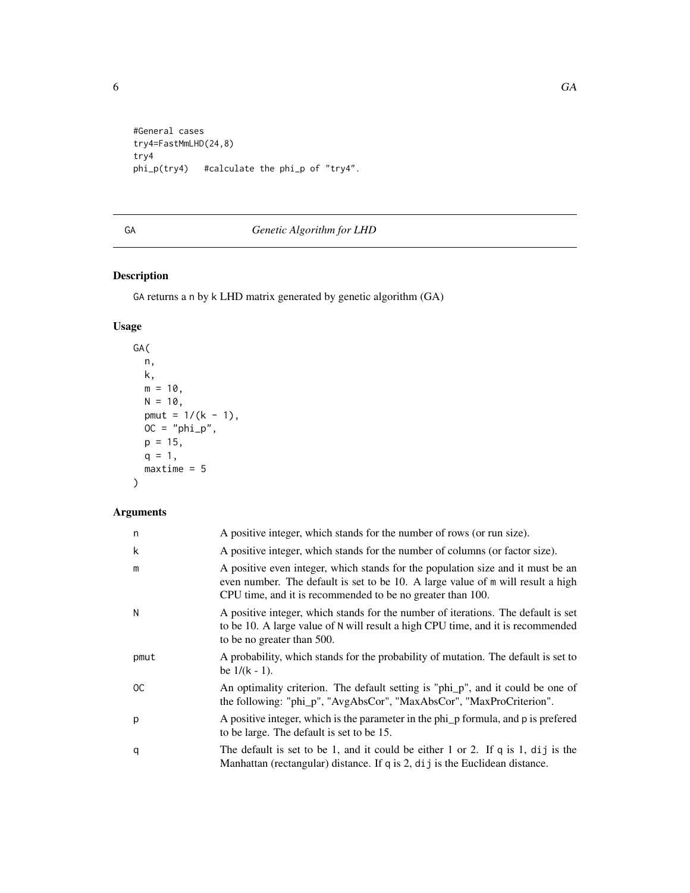<span id="page-5-0"></span>

```
#General cases
try4=FastMmLHD(24,8)
try4
phi_p(try4) #calculate the phi_p of "try4".
```
# GA *Genetic Algorithm for LHD*

# Description

GA returns a n by k LHD matrix generated by genetic algorithm (GA)

# Usage

```
GA(
 n,
 k,
 m = 10,
 N = 10,
 pmut = 1/(k - 1),
 OC = "phi_p",
 p = 15,
 q = 1,maxtime = 5)
```

| n             | A positive integer, which stands for the number of rows (or run size).                                                                                                                                                           |
|---------------|----------------------------------------------------------------------------------------------------------------------------------------------------------------------------------------------------------------------------------|
| k             | A positive integer, which stands for the number of columns (or factor size).                                                                                                                                                     |
| m             | A positive even integer, which stands for the population size and it must be an<br>even number. The default is set to be 10. A large value of m will result a high<br>CPU time, and it is recommended to be no greater than 100. |
| N             | A positive integer, which stands for the number of iterations. The default is set<br>to be 10. A large value of N will result a high CPU time, and it is recommended<br>to be no greater than 500.                               |
| pmut          | A probability, which stands for the probability of mutation. The default is set to<br>be $1/(k - 1)$ .                                                                                                                           |
| <sub>OC</sub> | An optimality criterion. The default setting is "phi_p", and it could be one of<br>the following: "phi_p", "AvgAbsCor", "MaxAbsCor", "MaxProCriterion".                                                                          |
| p             | A positive integer, which is the parameter in the phi_p formula, and p is prefered<br>to be large. The default is set to be 15.                                                                                                  |
| q             | The default is set to be 1, and it could be either 1 or 2. If $q$ is 1, dij is the<br>Manhattan (rectangular) distance. If q is 2, dij is the Euclidean distance.                                                                |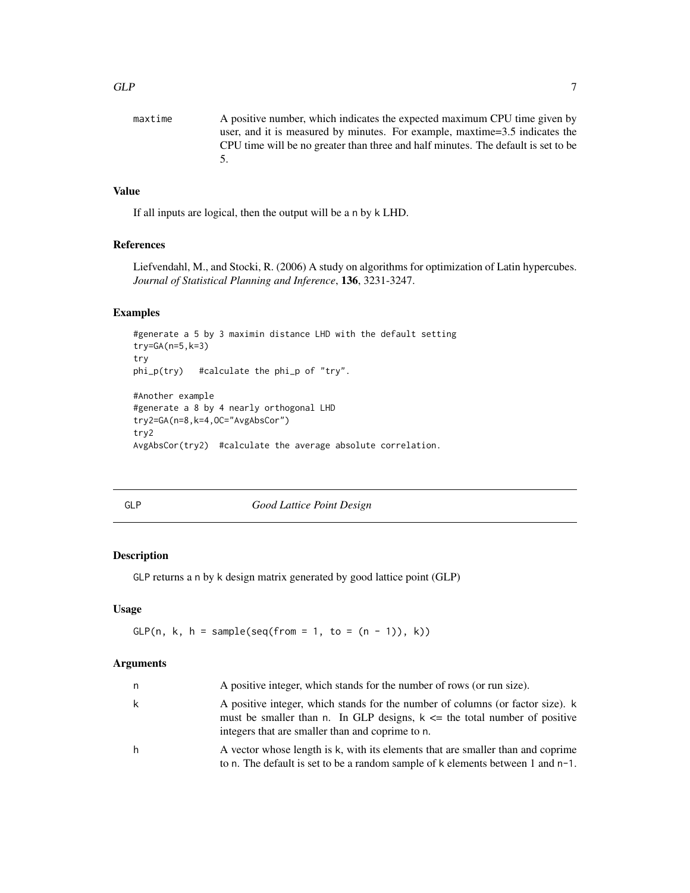<span id="page-6-0"></span>

| maxtime | A positive number, which indicates the expected maximum CPU time given by         |
|---------|-----------------------------------------------------------------------------------|
|         | user, and it is measured by minutes. For example, maxtime=3.5 indicates the       |
|         | CPU time will be no greater than three and half minutes. The default is set to be |
|         |                                                                                   |
|         |                                                                                   |

If all inputs are logical, then the output will be a n by k LHD.

# References

Liefvendahl, M., and Stocki, R. (2006) A study on algorithms for optimization of Latin hypercubes. *Journal of Statistical Planning and Inference*, 136, 3231-3247.

#### Examples

```
#generate a 5 by 3 maximin distance LHD with the default setting
try=GA(n=5,k=3)
try
phi_p(try) #calculate the phi_p of "try".
#Another example
#generate a 8 by 4 nearly orthogonal LHD
try2=GA(n=8,k=4,OC="AvgAbsCor")
try2
AvgAbsCor(try2) #calculate the average absolute correlation.
```
GLP *Good Lattice Point Design*

# Description

GLP returns a n by k design matrix generated by good lattice point (GLP)

#### Usage

```
GLP(n, k, h = sample(seq(from = 1, to = <math>(n - 1)</math>), k))
```

| n | A positive integer, which stands for the number of rows (or run size).                                                                                                                                                |
|---|-----------------------------------------------------------------------------------------------------------------------------------------------------------------------------------------------------------------------|
| k | A positive integer, which stands for the number of columns (or factor size). k<br>must be smaller than n. In GLP designs, $k \leq n$ the total number of positive<br>integers that are smaller than and coprime to n. |
| h | A vector whose length is k, with its elements that are smaller than and coprime<br>to n. The default is set to be a random sample of k elements between 1 and n-1.                                                    |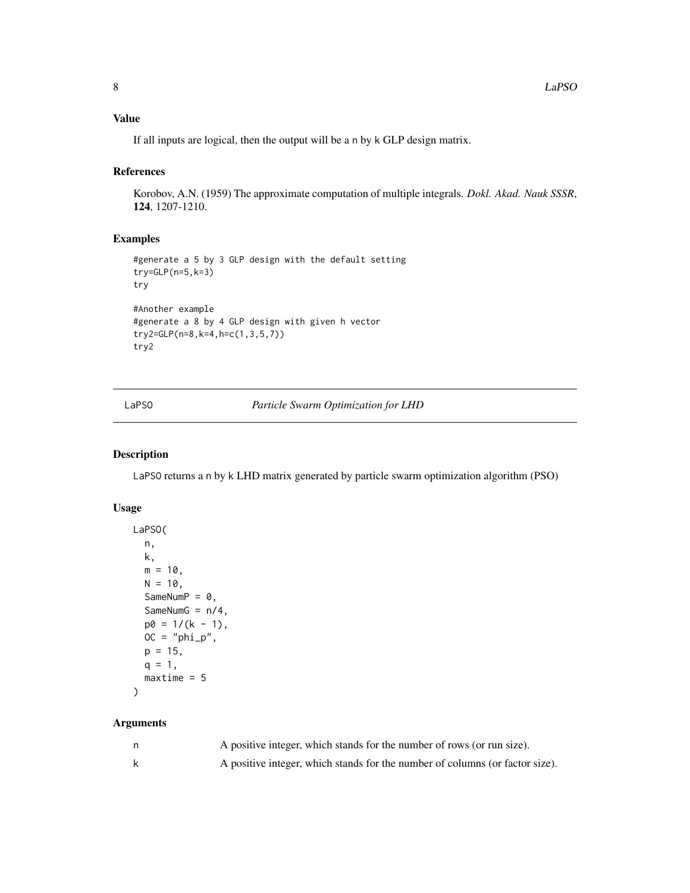<span id="page-7-0"></span>If all inputs are logical, then the output will be a n by k GLP design matrix.

#### References

Korobov, A.N. (1959) The approximate computation of multiple integrals. *Dokl. Akad. Nauk SSSR*, 124, 1207-1210.

# Examples

```
#generate a 5 by 3 GLP design with the default setting
try=GLP(n=5,k=3)
try
#Another example
#generate a 8 by 4 GLP design with given h vector
try2=GLP(n=8,k=4,h=c(1,3,5,7))
try2
```
LaPSO *Particle Swarm Optimization for LHD*

#### Description

LaPSO returns a n by k LHD matrix generated by particle swarm optimization algorithm (PSO)

# Usage

```
LaPSO(
 n,
 k,
 m = 10,
 N = 10,
  SameNumP = 0,
  SameNumG = n/4,
 p0 = 1/(k - 1),
 OC = "phi\_p",p = 15,
 q = 1,
 maxtime = 5)
```

| A positive integer, which stands for the number of rows (or run size).       |
|------------------------------------------------------------------------------|
| A positive integer, which stands for the number of columns (or factor size). |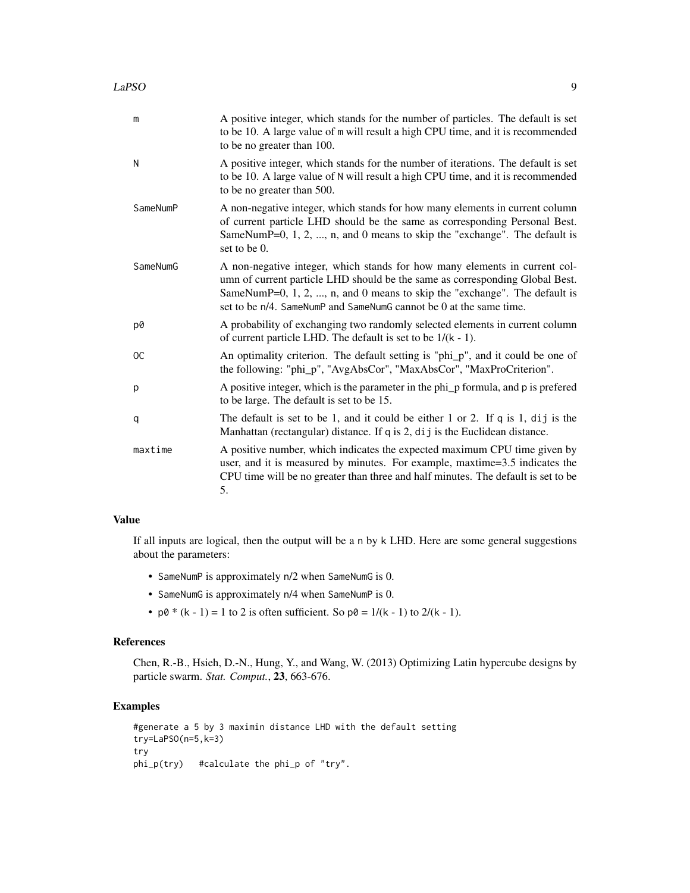| m             | A positive integer, which stands for the number of particles. The default is set<br>to be 10. A large value of m will result a high CPU time, and it is recommended<br>to be no greater than 100.                                                                                                             |
|---------------|---------------------------------------------------------------------------------------------------------------------------------------------------------------------------------------------------------------------------------------------------------------------------------------------------------------|
| N             | A positive integer, which stands for the number of iterations. The default is set<br>to be 10. A large value of N will result a high CPU time, and it is recommended<br>to be no greater than 500.                                                                                                            |
| SameNumP      | A non-negative integer, which stands for how many elements in current column<br>of current particle LHD should be the same as corresponding Personal Best.<br>SameNumP=0, $1, 2, , n$ , and 0 means to skip the "exchange". The default is<br>set to be 0.                                                    |
| SameNumG      | A non-negative integer, which stands for how many elements in current col-<br>umn of current particle LHD should be the same as corresponding Global Best.<br>SameNumP=0, 1, 2, , n, and 0 means to skip the "exchange". The default is<br>set to be n/4. SameNumP and SameNumG cannot be 0 at the same time. |
| p0            | A probability of exchanging two randomly selected elements in current column<br>of current particle LHD. The default is set to be $1/(k - 1)$ .                                                                                                                                                               |
| <sub>OC</sub> | An optimality criterion. The default setting is "phi_p", and it could be one of<br>the following: "phi_p", "AvgAbsCor", "MaxAbsCor", "MaxProCriterion".                                                                                                                                                       |
| p             | A positive integer, which is the parameter in the phi_p formula, and p is prefered<br>to be large. The default is set to be 15.                                                                                                                                                                               |
| q             | The default is set to be 1, and it could be either 1 or 2. If q is 1, dij is the<br>Manhattan (rectangular) distance. If q is 2, dij is the Euclidean distance.                                                                                                                                               |
| maxtime       | A positive number, which indicates the expected maximum CPU time given by<br>user, and it is measured by minutes. For example, maxtime=3.5 indicates the<br>CPU time will be no greater than three and half minutes. The default is set to be<br>5.                                                           |

If all inputs are logical, then the output will be a n by k LHD. Here are some general suggestions about the parameters:

- SameNumP is approximately n/2 when SameNumG is 0.
- SameNumG is approximately n/4 when SameNumP is 0.
- $p\theta * (k 1) = 1$  to 2 is often sufficient. So  $p\theta = 1/(k 1)$  to  $2/(k 1)$ .

# References

Chen, R.-B., Hsieh, D.-N., Hung, Y., and Wang, W. (2013) Optimizing Latin hypercube designs by particle swarm. *Stat. Comput.*, 23, 663-676.

# Examples

```
#generate a 5 by 3 maximin distance LHD with the default setting
try=LaPSO(n=5,k=3)
try
phi_p(try) #calculate the phi_p of "try".
```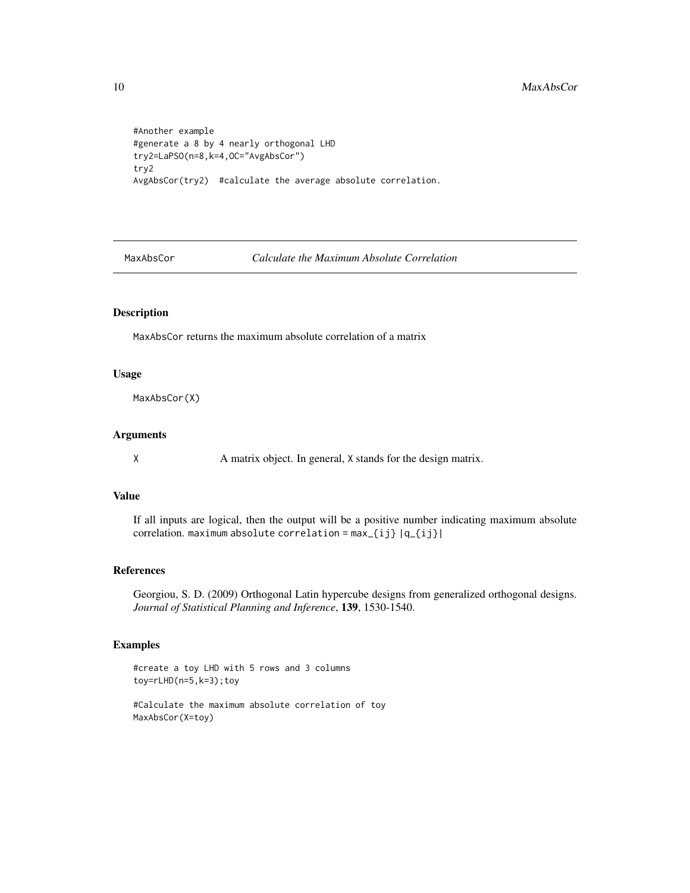```
#Another example
#generate a 8 by 4 nearly orthogonal LHD
try2=LaPSO(n=8,k=4,OC="AvgAbsCor")
try2
AvgAbsCor(try2) #calculate the average absolute correlation.
```
MaxAbsCor *Calculate the Maximum Absolute Correlation*

#### Description

MaxAbsCor returns the maximum absolute correlation of a matrix

#### Usage

MaxAbsCor(X)

# Arguments

X A matrix object. In general, X stands for the design matrix.

# Value

If all inputs are logical, then the output will be a positive number indicating maximum absolute correlation. maximum absolute correlation =  $max_{i,j}$  |q\_{ij}|

# References

Georgiou, S. D. (2009) Orthogonal Latin hypercube designs from generalized orthogonal designs. *Journal of Statistical Planning and Inference*, 139, 1530-1540.

#### Examples

```
#create a toy LHD with 5 rows and 3 columns
toy=rLHD(n=5,k=3);toy
```
#Calculate the maximum absolute correlation of toy MaxAbsCor(X=toy)

<span id="page-9-0"></span>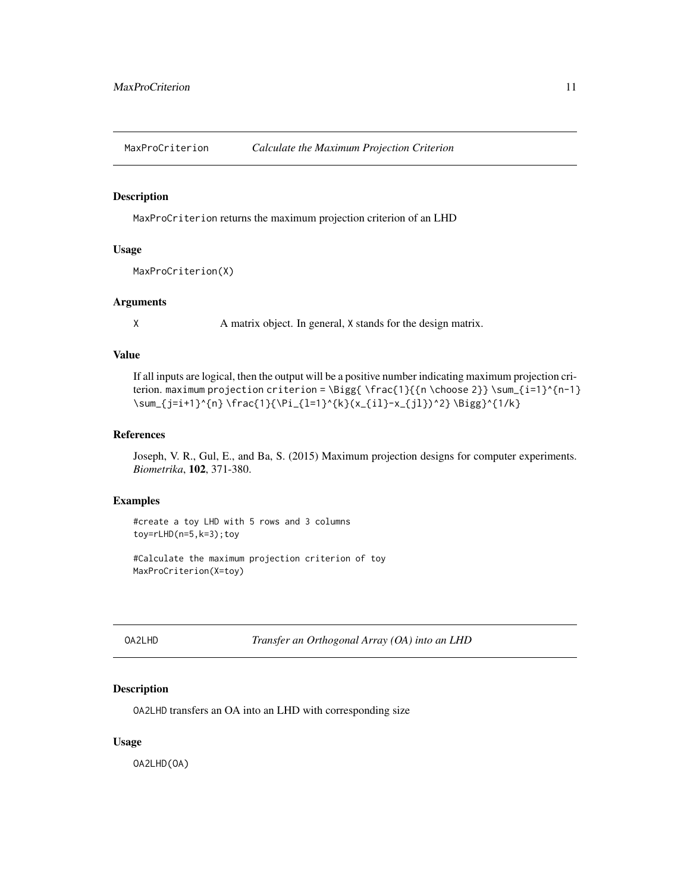<span id="page-10-0"></span>MaxProCriterion *Calculate the Maximum Projection Criterion*

#### Description

MaxProCriterion returns the maximum projection criterion of an LHD

#### Usage

```
MaxProCriterion(X)
```
#### Arguments

X A matrix object. In general, X stands for the design matrix.

# Value

If all inputs are logical, then the output will be a positive number indicating maximum projection criterion. maximum projection criterion = \Bigg{ \frac{1}{{n \choose 2}} \sum\_{i=1}^{n-1} \sum\_{j=i+1}^{n} \frac{1}{\Pi\_{l=1}^{k}(x\_{il}-x\_{jl})^2} \Bigg}^{1/k}

#### References

Joseph, V. R., Gul, E., and Ba, S. (2015) Maximum projection designs for computer experiments. *Biometrika*, 102, 371-380.

# Examples

#create a toy LHD with 5 rows and 3 columns toy=rLHD(n=5,k=3);toy

#Calculate the maximum projection criterion of toy MaxProCriterion(X=toy)

OA2LHD *Transfer an Orthogonal Array (OA) into an LHD*

# Description

OA2LHD transfers an OA into an LHD with corresponding size

#### Usage

OA2LHD(OA)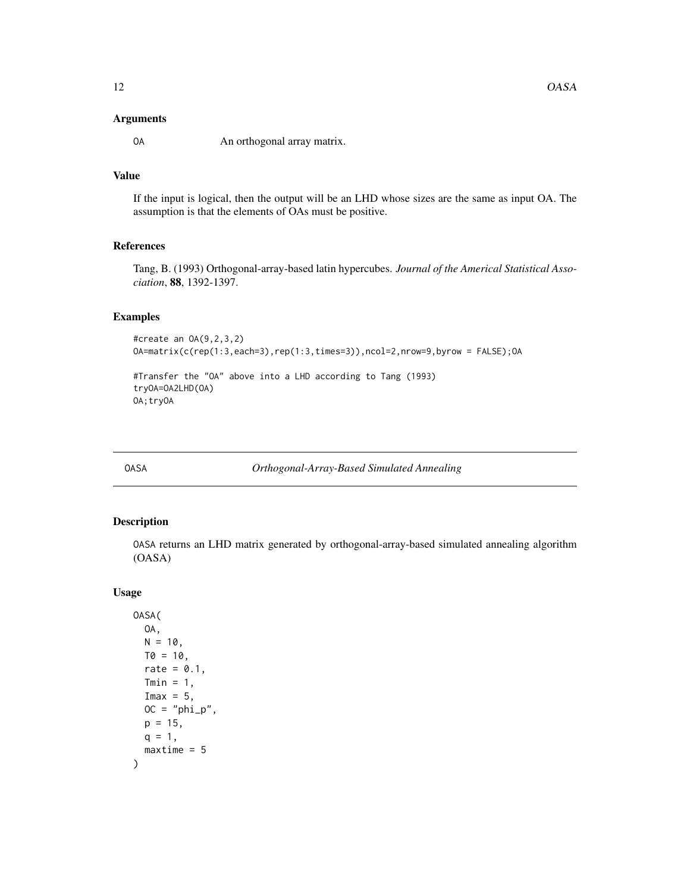#### <span id="page-11-0"></span>Arguments

OA An orthogonal array matrix.

# Value

If the input is logical, then the output will be an LHD whose sizes are the same as input OA. The assumption is that the elements of OAs must be positive.

#### References

Tang, B. (1993) Orthogonal-array-based latin hypercubes. *Journal of the Americal Statistical Association*, 88, 1392-1397.

#### Examples

```
#create an OA(9,2,3,2)
OA=matrix(c(rep(1:3,each=3),rep(1:3,times=3)),ncol=2,nrow=9,byrow = FALSE);OA
```
#Transfer the "OA" above into a LHD according to Tang (1993) tryOA=OA2LHD(OA) OA;tryOA

OASA *Orthogonal-Array-Based Simulated Annealing*

# Description

OASA returns an LHD matrix generated by orthogonal-array-based simulated annealing algorithm (OASA)

#### Usage

```
OASA(
  OA,
 N = 10,
 T0 = 10,
  rate = 0.1,
  Tmin = 1,
  Imax = 5.
 OC = "phi\_p",p = 15,
 q = 1,
  maxtime = 5)
```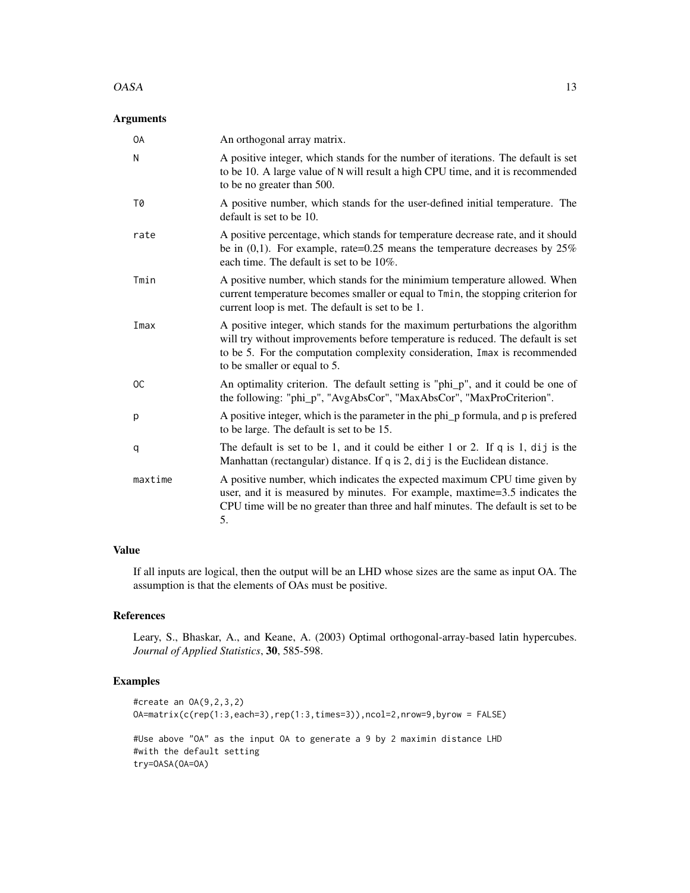#### $OASA$  13

# Arguments

| <b>OA</b>     | An orthogonal array matrix.                                                                                                                                                                                                                                                   |
|---------------|-------------------------------------------------------------------------------------------------------------------------------------------------------------------------------------------------------------------------------------------------------------------------------|
| N             | A positive integer, which stands for the number of iterations. The default is set<br>to be 10. A large value of N will result a high CPU time, and it is recommended<br>to be no greater than 500.                                                                            |
| T0            | A positive number, which stands for the user-defined initial temperature. The<br>default is set to be 10.                                                                                                                                                                     |
| rate          | A positive percentage, which stands for temperature decrease rate, and it should<br>be in $(0,1)$ . For example, rate=0.25 means the temperature decreases by 25%<br>each time. The default is set to be 10%.                                                                 |
| Tmin          | A positive number, which stands for the minimium temperature allowed. When<br>current temperature becomes smaller or equal to Tmin, the stopping criterion for<br>current loop is met. The default is set to be 1.                                                            |
| Imax          | A positive integer, which stands for the maximum perturbations the algorithm<br>will try without improvements before temperature is reduced. The default is set<br>to be 5. For the computation complexity consideration, Imax is recommended<br>to be smaller or equal to 5. |
| <sub>OC</sub> | An optimality criterion. The default setting is "phi_p", and it could be one of<br>the following: "phi_p", "AvgAbsCor", "MaxAbsCor", "MaxProCriterion".                                                                                                                       |
| p             | A positive integer, which is the parameter in the phi_p formula, and p is prefered<br>to be large. The default is set to be 15.                                                                                                                                               |
| q             | The default is set to be 1, and it could be either 1 or 2. If $q$ is 1, dij is the<br>Manhattan (rectangular) distance. If q is 2, dij is the Euclidean distance.                                                                                                             |
| maxtime       | A positive number, which indicates the expected maximum CPU time given by<br>user, and it is measured by minutes. For example, maxtime=3.5 indicates the<br>CPU time will be no greater than three and half minutes. The default is set to be<br>5.                           |

#### Value

If all inputs are logical, then the output will be an LHD whose sizes are the same as input OA. The assumption is that the elements of OAs must be positive.

#### References

Leary, S., Bhaskar, A., and Keane, A. (2003) Optimal orthogonal-array-based latin hypercubes. *Journal of Applied Statistics*, 30, 585-598.

#### Examples

```
#create an OA(9,2,3,2)
OA=matrix(c(rep(1:3,each=3),rep(1:3,times=3)),ncol=2,nrow=9,byrow = FALSE)
#Use above "OA" as the input OA to generate a 9 by 2 maximin distance LHD
#with the default setting
try=OASA(OA=OA)
```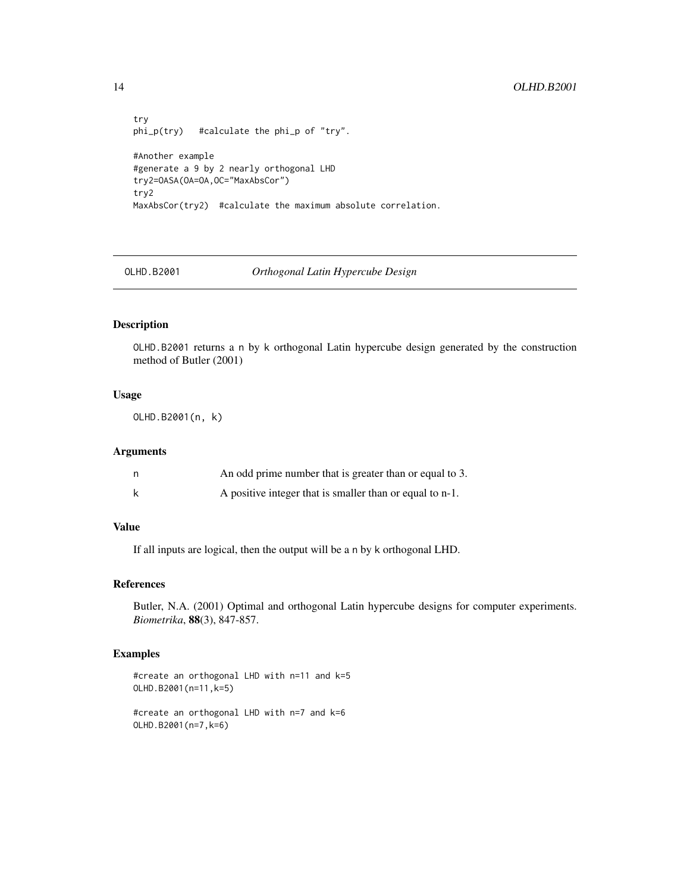```
try
phi_p(try) #calculate the phi_p of "try".
#Another example
#generate a 9 by 2 nearly orthogonal LHD
try2=OASA(OA=OA,OC="MaxAbsCor")
try2
MaxAbsCor(try2) #calculate the maximum absolute correlation.
```
# OLHD.B2001 *Orthogonal Latin Hypercube Design*

# Description

OLHD.B2001 returns a n by k orthogonal Latin hypercube design generated by the construction method of Butler (2001)

#### Usage

OLHD.B2001(n, k)

#### Arguments

| An odd prime number that is greater than or equal to 3.  |
|----------------------------------------------------------|
| A positive integer that is smaller than or equal to n-1. |

# Value

If all inputs are logical, then the output will be a n by k orthogonal LHD.

# References

Butler, N.A. (2001) Optimal and orthogonal Latin hypercube designs for computer experiments. *Biometrika*, 88(3), 847-857.

#### Examples

```
#create an orthogonal LHD with n=11 and k=5
OLHD.B2001(n=11,k=5)
```
#create an orthogonal LHD with n=7 and k=6 OLHD.B2001(n=7,k=6)

<span id="page-13-0"></span>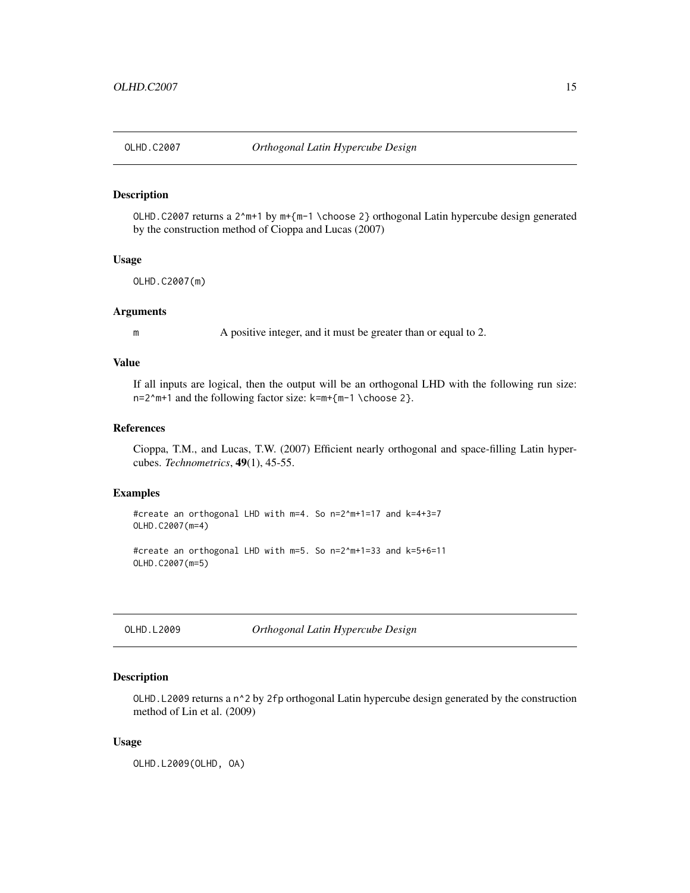<span id="page-14-0"></span>

#### Description

OLHD.C2007 returns a 2^m+1 by m+{m-1 \choose 2} orthogonal Latin hypercube design generated by the construction method of Cioppa and Lucas (2007)

# Usage

OLHD.C2007(m)

#### Arguments

m A positive integer, and it must be greater than or equal to 2.

#### Value

If all inputs are logical, then the output will be an orthogonal LHD with the following run size: n=2^m+1 and the following factor size: k=m+{m-1 \choose 2}.

# References

Cioppa, T.M., and Lucas, T.W. (2007) Efficient nearly orthogonal and space-filling Latin hypercubes. *Technometrics*, 49(1), 45-55.

#### Examples

```
#create an orthogonal LHD with m=4. So n=2^m+1=17 and k=4+3=7
OLHD.C2007(m=4)
```

```
#create an orthogonal LHD with m=5. So n=2^m+1=33 and k=5+6=11
OLHD.C2007(m=5)
```
OLHD.L2009 *Orthogonal Latin Hypercube Design*

### Description

OLHD.L2009 returns a n^2 by 2fp orthogonal Latin hypercube design generated by the construction method of Lin et al. (2009)

#### Usage

OLHD.L2009(OLHD, OA)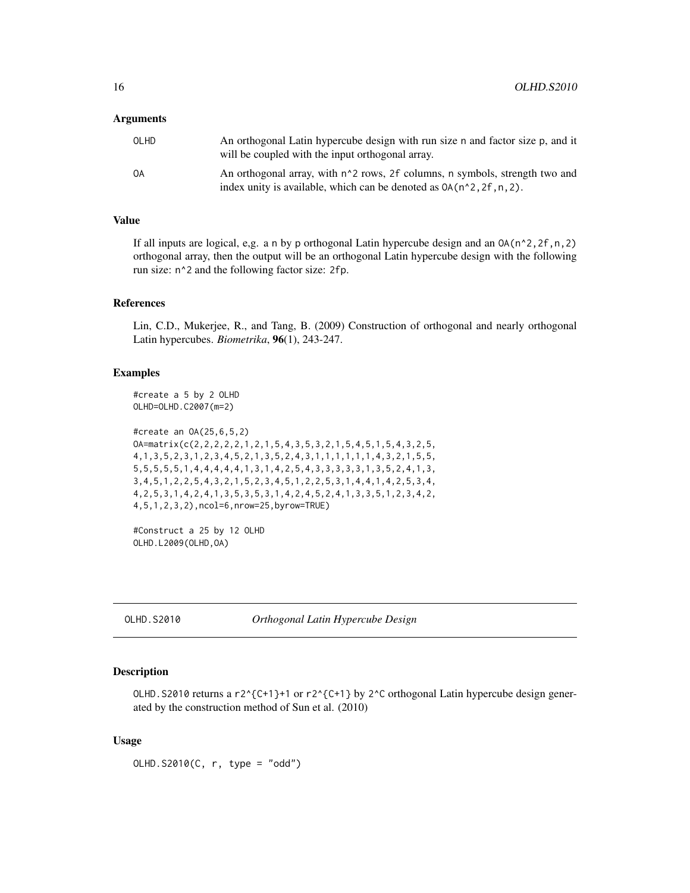#### <span id="page-15-0"></span>Arguments

| OLHD | An orthogonal Latin hypercube design with run size n and factor size p, and it<br>will be coupled with the input orthogonal array.                                |
|------|-------------------------------------------------------------------------------------------------------------------------------------------------------------------|
| ОA   | An orthogonal array, with n <sup>2</sup> rows, 2f columns, n symbols, strength two and<br>index unity is available, which can be denoted as $OA(n^2, 2f, n, 2)$ . |

#### Value

If all inputs are logical, e,g. a n by p orthogonal Latin hypercube design and an  $OA(n^2,2f,n,2)$ orthogonal array, then the output will be an orthogonal Latin hypercube design with the following run size: n^2 and the following factor size: 2fp.

#### References

Lin, C.D., Mukerjee, R., and Tang, B. (2009) Construction of orthogonal and nearly orthogonal Latin hypercubes. *Biometrika*, 96(1), 243-247.

#### Examples

#create a 5 by 2 OLHD OLHD=OLHD.C2007(m=2)

```
#create an OA(25,6,5,2)
OA=matrix(c(2,2,2,2,2,1,2,1,5,4,3,5,3,2,1,5,4,5,1,5,4,3,2,5,
4,1,3,5,2,3,1,2,3,4,5,2,1,3,5,2,4,3,1,1,1,1,1,1,4,3,2,1,5,5,
5,5,5,5,5,1,4,4,4,4,4,1,3,1,4,2,5,4,3,3,3,3,3,1,3,5,2,4,1,3,
3,4,5,1,2,2,5,4,3,2,1,5,2,3,4,5,1,2,2,5,3,1,4,4,1,4,2,5,3,4,
4,2,5,3,1,4,2,4,1,3,5,3,5,3,1,4,2,4,5,2,4,1,3,3,5,1,2,3,4,2,
4,5,1,2,3,2),ncol=6,nrow=25,byrow=TRUE)
```

```
#Construct a 25 by 12 OLHD
OLHD.L2009(OLHD,OA)
```
OLHD.S2010 *Orthogonal Latin Hypercube Design*

#### Description

OLHD. S2010 returns a r2^{C+1}+1 or r2^{C+1} by 2^C orthogonal Latin hypercube design generated by the construction method of Sun et al. (2010)

#### Usage

OLHD.S2010(C, r, type = "odd")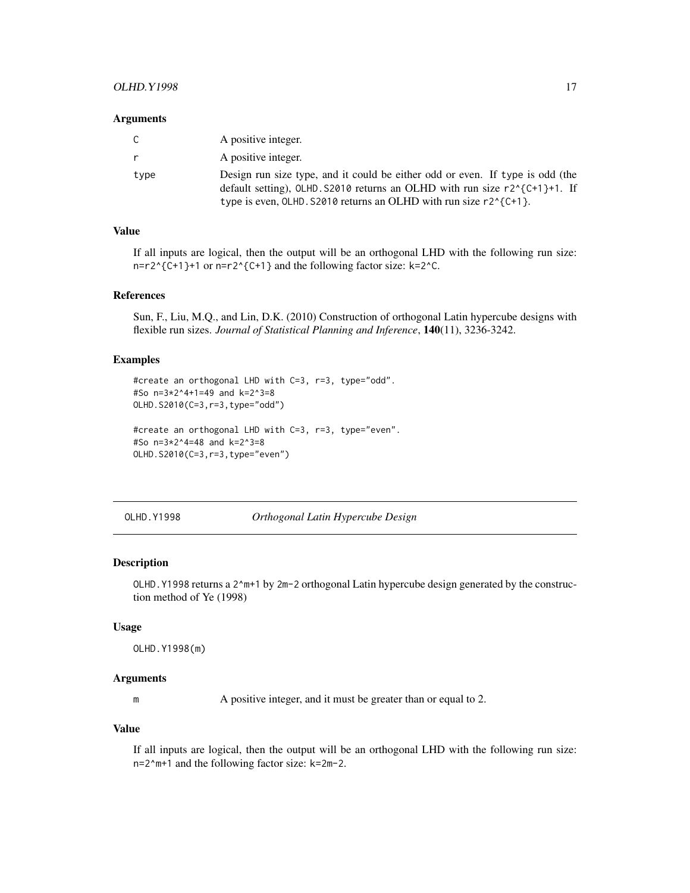#### <span id="page-16-0"></span>OLHD.Y1998 17

#### **Arguments**

| C.   | A positive integer.                                                                                                                                                                                                                          |
|------|----------------------------------------------------------------------------------------------------------------------------------------------------------------------------------------------------------------------------------------------|
| r.   | A positive integer.                                                                                                                                                                                                                          |
| type | Design run size type, and it could be either odd or even. If type is odd (the<br>default setting), OLHD. $S2010$ returns an OLHD with run size $r2^{(c+1)+1}$ . If<br>type is even, OLHD. S2010 returns an OLHD with run size $r2^{(c+1)}$ . |

# Value

If all inputs are logical, then the output will be an orthogonal LHD with the following run size: n=r2^{C+1}+1 or n=r2^{C+1} and the following factor size: k=2^C.

# References

Sun, F., Liu, M.Q., and Lin, D.K. (2010) Construction of orthogonal Latin hypercube designs with flexible run sizes. *Journal of Statistical Planning and Inference*, 140(11), 3236-3242.

#### Examples

```
#create an orthogonal LHD with C=3, r=3, type="odd".
#So n=3*2^4+1=49 and k=2^3=8
OLHD.S2010(C=3,r=3,type="odd")
#create an orthogonal LHD with C=3, r=3, type="even".
#So n=3*2^4=48 and k=2^3=8
```
OLHD.S2010(C=3,r=3,type="even")

OLHD.Y1998 *Orthogonal Latin Hypercube Design*

#### Description

OLHD.Y1998 returns a 2^m+1 by 2m-2 orthogonal Latin hypercube design generated by the construction method of Ye (1998)

#### Usage

```
OLHD.Y1998(m)
```
#### Arguments

m A positive integer, and it must be greater than or equal to 2.

#### Value

If all inputs are logical, then the output will be an orthogonal LHD with the following run size: n=2^m+1 and the following factor size: k=2m-2.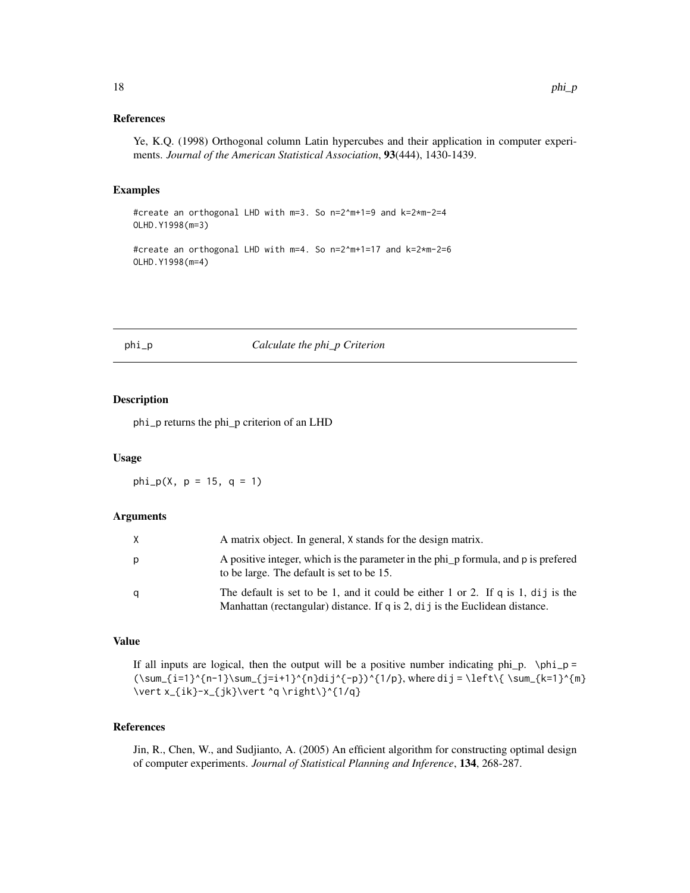#### <span id="page-17-0"></span>References

Ye, K.Q. (1998) Orthogonal column Latin hypercubes and their application in computer experiments. *Journal of the American Statistical Association*, 93(444), 1430-1439.

#### Examples

#create an orthogonal LHD with m=3. So n=2^m+1=9 and k=2\*m-2=4 OLHD.Y1998(m=3)

#create an orthogonal LHD with m=4. So n=2^m+1=17 and k=2\*m-2=6 OLHD.Y1998(m=4)

#### phi\_p *Calculate the phi\_p Criterion*

#### Description

phi\_p returns the phi\_p criterion of an LHD

#### Usage

 $phi_p(X, p = 15, q = 1)$ 

#### Arguments

|   | A matrix object. In general, X stands for the design matrix.                                                                                                      |
|---|-------------------------------------------------------------------------------------------------------------------------------------------------------------------|
| р | A positive integer, which is the parameter in the phi_p formula, and p is prefered<br>to be large. The default is set to be 15.                                   |
| a | The default is set to be 1, and it could be either 1 or 2. If $q$ is 1, dij is the<br>Manhattan (rectangular) distance. If q is 2, dij is the Euclidean distance. |

#### Value

If all inputs are logical, then the output will be a positive number indicating phi\_p.  $\phi =$  $(\sum_{i=1}^{n-1}\sum_{j=i+1}^{n}dij^{p}\n$ , where dij = \left\{ \sum\_{k=1}^{m} \vert x\_{ik}-x\_{jk}\vert ^q \right\}^{1/q}

# References

Jin, R., Chen, W., and Sudjianto, A. (2005) An efficient algorithm for constructing optimal design of computer experiments. *Journal of Statistical Planning and Inference*, 134, 268-287.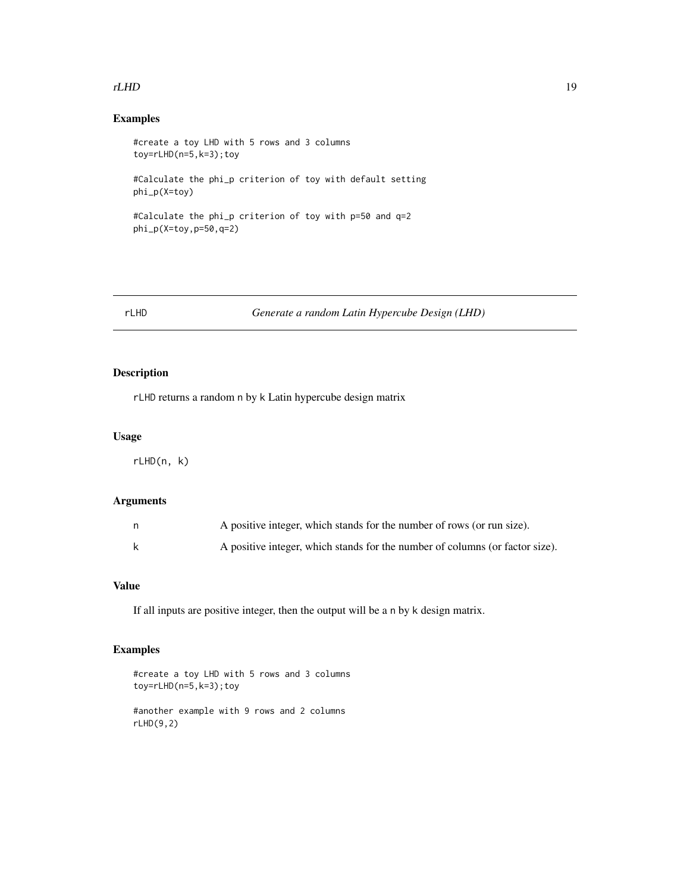#### <span id="page-18-0"></span> $rLHD$  19

# Examples

```
#create a toy LHD with 5 rows and 3 columns
toy=rLHD(n=5,k=3);toy
#Calculate the phi_p criterion of toy with default setting
```
phi\_p(X=toy)

```
#Calculate the phi_p criterion of toy with p=50 and q=2
phi_p(X=toy,p=50,q=2)
```
# rLHD *Generate a random Latin Hypercube Design (LHD)*

# Description

rLHD returns a random n by k Latin hypercube design matrix

# Usage

rLHD(n, k)

# Arguments

| n. | A positive integer, which stands for the number of rows (or run size).       |
|----|------------------------------------------------------------------------------|
| k  | A positive integer, which stands for the number of columns (or factor size). |

#### Value

If all inputs are positive integer, then the output will be a n by k design matrix.

# Examples

```
#create a toy LHD with 5 rows and 3 columns
toy=rLHD(n=5,k=3);toy
#another example with 9 rows and 2 columns
```
rLHD(9,2)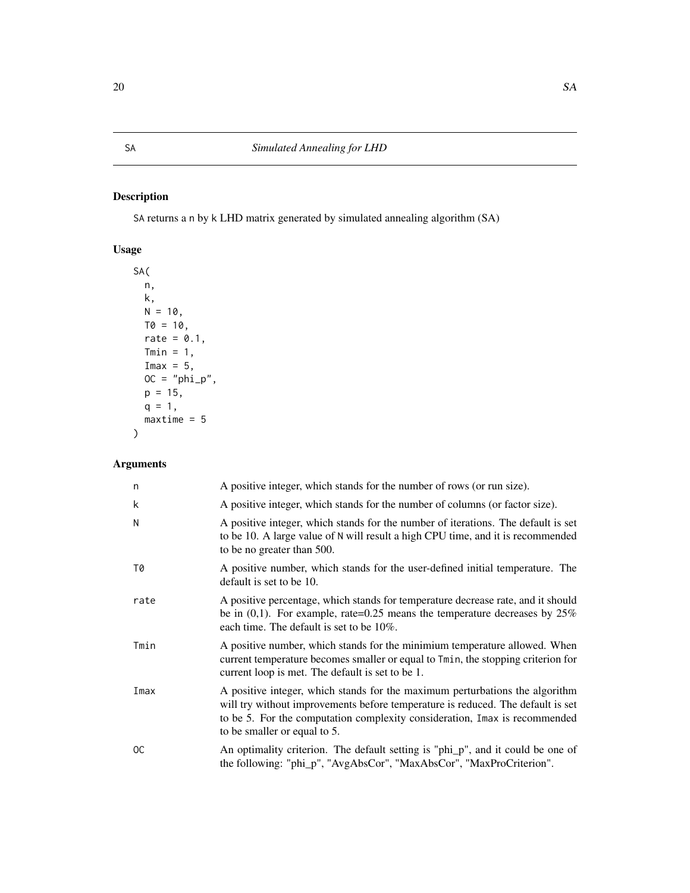# <span id="page-19-0"></span>Description

SA returns a n by k LHD matrix generated by simulated annealing algorithm (SA)

# Usage

```
SA(
 n,
 k,
 N = 10,
 T0 = 10,
 rate = 0.1,Tmin = 1,Imax = 5,
 OC = "phi\_p",p = 15,
 q = 1,
 maxtime = 5)
```

| n    | A positive integer, which stands for the number of rows (or run size).                                                                                                                                                                                                        |
|------|-------------------------------------------------------------------------------------------------------------------------------------------------------------------------------------------------------------------------------------------------------------------------------|
| k    | A positive integer, which stands for the number of columns (or factor size).                                                                                                                                                                                                  |
| N    | A positive integer, which stands for the number of iterations. The default is set<br>to be 10. A large value of N will result a high CPU time, and it is recommended<br>to be no greater than 500.                                                                            |
| T0   | A positive number, which stands for the user-defined initial temperature. The<br>default is set to be 10.                                                                                                                                                                     |
| rate | A positive percentage, which stands for temperature decrease rate, and it should<br>be in $(0,1)$ . For example, rate=0.25 means the temperature decreases by 25%<br>each time. The default is set to be 10%.                                                                 |
| Tmin | A positive number, which stands for the minimium temperature allowed. When<br>current temperature becomes smaller or equal to Tmin, the stopping criterion for<br>current loop is met. The default is set to be 1.                                                            |
| Imax | A positive integer, which stands for the maximum perturbations the algorithm<br>will try without improvements before temperature is reduced. The default is set<br>to be 5. For the computation complexity consideration, Imax is recommended<br>to be smaller or equal to 5. |
| OC.  | An optimality criterion. The default setting is "phi_p", and it could be one of<br>the following: "phi_p", "AvgAbsCor", "MaxAbsCor", "MaxProCriterion".                                                                                                                       |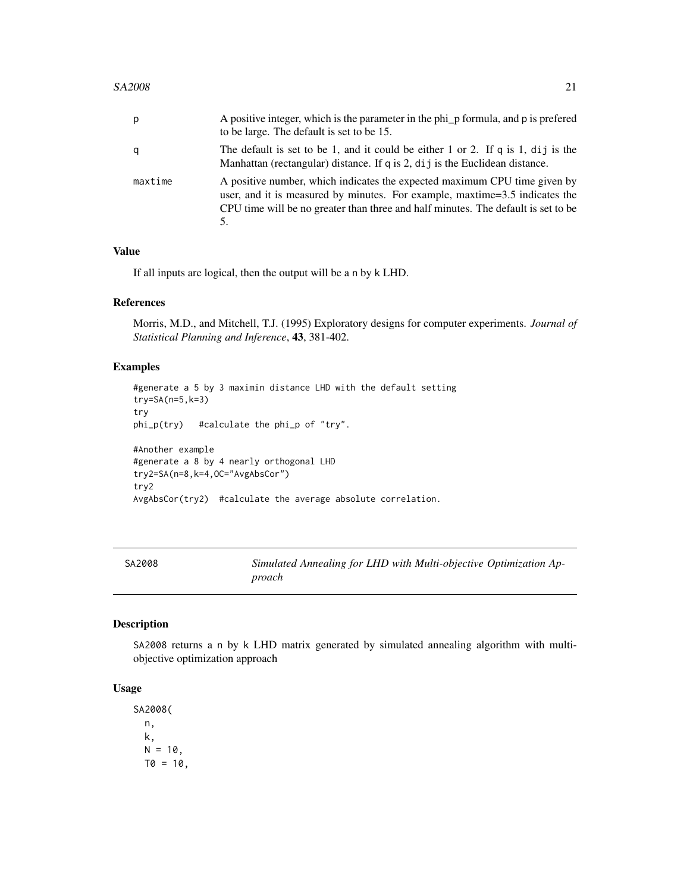<span id="page-20-0"></span>

| р       | A positive integer, which is the parameter in the phi_p formula, and p is prefered<br>to be large. The default is set to be 15.                                                                                                               |
|---------|-----------------------------------------------------------------------------------------------------------------------------------------------------------------------------------------------------------------------------------------------|
| q       | The default is set to be 1, and it could be either 1 or 2. If q is 1, dij is the<br>Manhattan (rectangular) distance. If q is 2, $di$ j is the Euclidean distance.                                                                            |
| maxtime | A positive number, which indicates the expected maximum CPU time given by<br>user, and it is measured by minutes. For example, maxtime=3.5 indicates the<br>CPU time will be no greater than three and half minutes. The default is set to be |

If all inputs are logical, then the output will be a n by k LHD.

#### References

Morris, M.D., and Mitchell, T.J. (1995) Exploratory designs for computer experiments. *Journal of Statistical Planning and Inference*, 43, 381-402.

# Examples

```
#generate a 5 by 3 maximin distance LHD with the default setting
try=SA(n=5,k=3)
try
phi_p(try) #calculate the phi_p of "try".
#Another example
#generate a 8 by 4 nearly orthogonal LHD
try2=SA(n=8,k=4,OC="AvgAbsCor")
try2
AvgAbsCor(try2) #calculate the average absolute correlation.
```
SA2008 *Simulated Annealing for LHD with Multi-objective Optimization Approach*

# Description

SA2008 returns a n by k LHD matrix generated by simulated annealing algorithm with multiobjective optimization approach

# Usage

SA2008( n, k,  $N = 10$ ,  $T0 = 10$ ,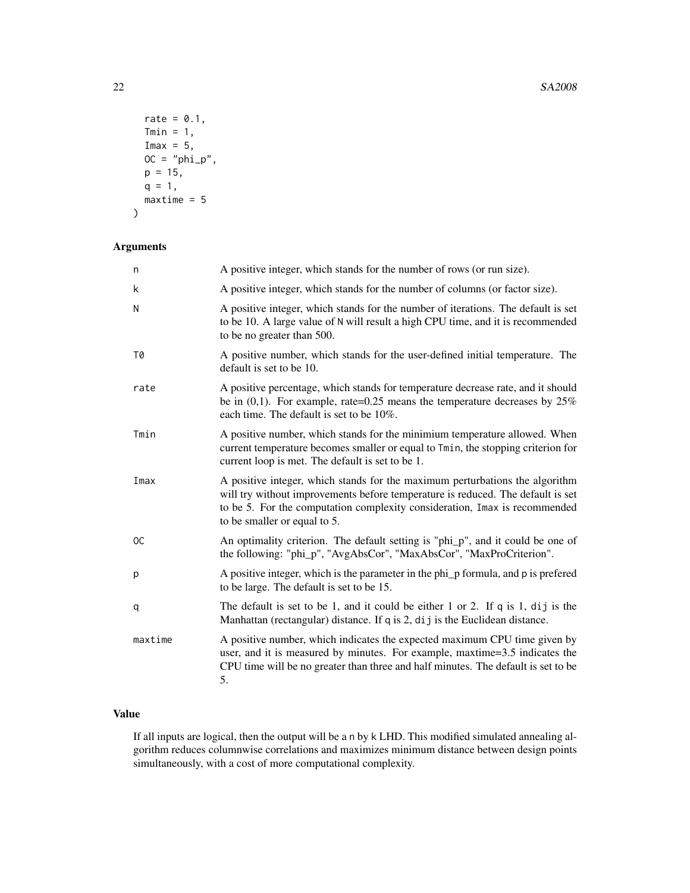```
rate = 0.1,
 Tmin = 1,
  Imax = 5,
 OC = "phi\_p",p = 15,
 q = 1,maxtime = 5\mathcal{E}
```
# Arguments

| n             | A positive integer, which stands for the number of rows (or run size).                                                                                                                                                                                                        |
|---------------|-------------------------------------------------------------------------------------------------------------------------------------------------------------------------------------------------------------------------------------------------------------------------------|
| k             | A positive integer, which stands for the number of columns (or factor size).                                                                                                                                                                                                  |
| N             | A positive integer, which stands for the number of iterations. The default is set<br>to be 10. A large value of N will result a high CPU time, and it is recommended<br>to be no greater than 500.                                                                            |
| T0            | A positive number, which stands for the user-defined initial temperature. The<br>default is set to be 10.                                                                                                                                                                     |
| rate          | A positive percentage, which stands for temperature decrease rate, and it should<br>be in $(0,1)$ . For example, rate=0.25 means the temperature decreases by 25%<br>each time. The default is set to be 10%.                                                                 |
| Tmin          | A positive number, which stands for the minimium temperature allowed. When<br>current temperature becomes smaller or equal to Tmin, the stopping criterion for<br>current loop is met. The default is set to be 1.                                                            |
| Imax          | A positive integer, which stands for the maximum perturbations the algorithm<br>will try without improvements before temperature is reduced. The default is set<br>to be 5. For the computation complexity consideration, Imax is recommended<br>to be smaller or equal to 5. |
| <sub>OC</sub> | An optimality criterion. The default setting is "phi_p", and it could be one of<br>the following: "phi_p", "AvgAbsCor", "MaxAbsCor", "MaxProCriterion".                                                                                                                       |
| p             | A positive integer, which is the parameter in the phi_p formula, and p is prefered<br>to be large. The default is set to be 15.                                                                                                                                               |
| q             | The default is set to be 1, and it could be either 1 or 2. If $q$ is 1, dij is the<br>Manhattan (rectangular) distance. If q is 2, dij is the Euclidean distance.                                                                                                             |
| maxtime       | A positive number, which indicates the expected maximum CPU time given by<br>user, and it is measured by minutes. For example, maxtime=3.5 indicates the<br>CPU time will be no greater than three and half minutes. The default is set to be<br>5.                           |

# Value

If all inputs are logical, then the output will be a n by k LHD. This modified simulated annealing algorithm reduces columnwise correlations and maximizes minimum distance between design points simultaneously, with a cost of more computational complexity.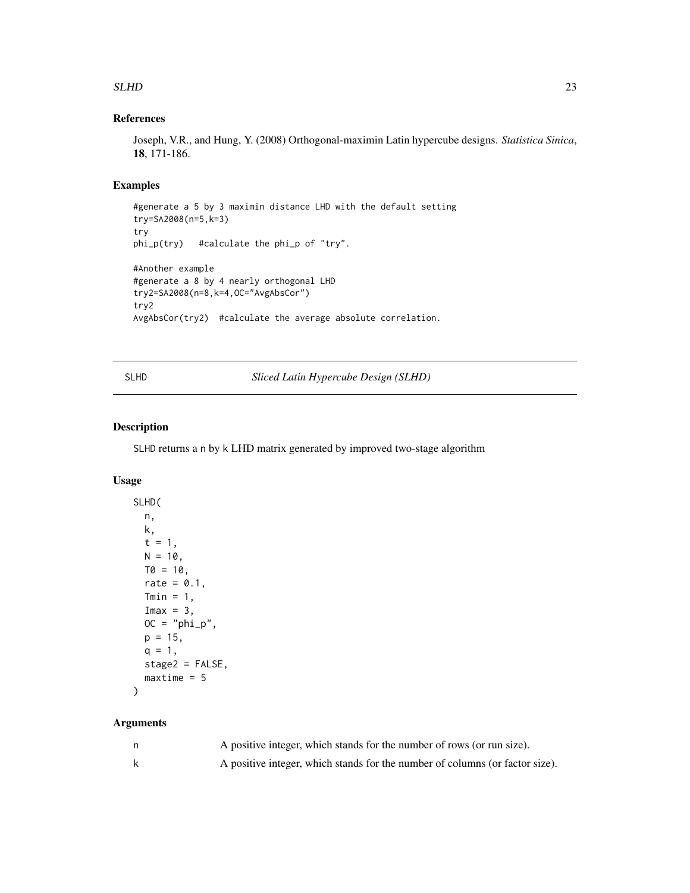#### <span id="page-22-0"></span> $SLHD$  23

# References

Joseph, V.R., and Hung, Y. (2008) Orthogonal-maximin Latin hypercube designs. *Statistica Sinica*, 18, 171-186.

# Examples

```
#generate a 5 by 3 maximin distance LHD with the default setting
try=SA2008(n=5,k=3)
try
phi_p(try) #calculate the phi_p of "try".
#Another example
#generate a 8 by 4 nearly orthogonal LHD
try2=SA2008(n=8,k=4,OC="AvgAbsCor")
try2
AvgAbsCor(try2) #calculate the average absolute correlation.
```
SLHD *Sliced Latin Hypercube Design (SLHD)*

# Description

SLHD returns a n by k LHD matrix generated by improved two-stage algorithm

### Usage

```
SLHD(
 n,
 k,
 t = 1,
 N = 10,
 T0 = 10,
 rate = 0.1,
 Tmin = 1,
 Imax = 3,
 OC = "phi\_p",p = 15,
 q = 1,
 stage2 = FALSE,
 maxtime = 5)
```

| A positive integer, which stands for the number of rows (or run size).       |
|------------------------------------------------------------------------------|
| A positive integer, which stands for the number of columns (or factor size). |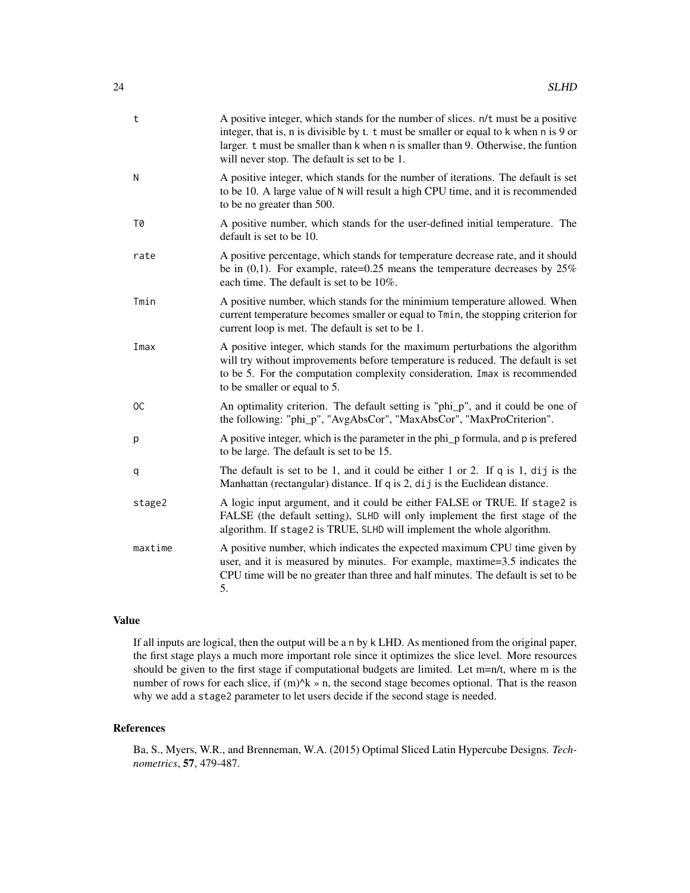| t             | A positive integer, which stands for the number of slices. $n/t$ must be a positive<br>integer, that is, n is divisible by t. t must be smaller or equal to k when n is 9 or<br>larger. t must be smaller than k when n is smaller than 9. Otherwise, the funtion<br>will never stop. The default is set to be 1. |
|---------------|-------------------------------------------------------------------------------------------------------------------------------------------------------------------------------------------------------------------------------------------------------------------------------------------------------------------|
| N             | A positive integer, which stands for the number of iterations. The default is set<br>to be 10. A large value of N will result a high CPU time, and it is recommended<br>to be no greater than 500.                                                                                                                |
| T0            | A positive number, which stands for the user-defined initial temperature. The<br>default is set to be 10.                                                                                                                                                                                                         |
| rate          | A positive percentage, which stands for temperature decrease rate, and it should<br>be in $(0,1)$ . For example, rate=0.25 means the temperature decreases by 25%<br>each time. The default is set to be 10%.                                                                                                     |
| Tmin          | A positive number, which stands for the minimium temperature allowed. When<br>current temperature becomes smaller or equal to Tmin, the stopping criterion for<br>current loop is met. The default is set to be 1.                                                                                                |
| Imax          | A positive integer, which stands for the maximum perturbations the algorithm<br>will try without improvements before temperature is reduced. The default is set<br>to be 5. For the computation complexity consideration, Imax is recommended<br>to be smaller or equal to 5.                                     |
| <sub>OC</sub> | An optimality criterion. The default setting is "phi_p", and it could be one of<br>the following: "phi_p", "AvgAbsCor", "MaxAbsCor", "MaxProCriterion".                                                                                                                                                           |
| p             | A positive integer, which is the parameter in the phi_p formula, and p is prefered<br>to be large. The default is set to be 15.                                                                                                                                                                                   |
| q             | The default is set to be 1, and it could be either 1 or 2. If $q$ is 1, dij is the<br>Manhattan (rectangular) distance. If q is 2, dij is the Euclidean distance.                                                                                                                                                 |
| stage2        | A logic input argument, and it could be either FALSE or TRUE. If stage2 is<br>FALSE (the default setting), SLHD will only implement the first stage of the<br>algorithm. If stage2 is TRUE, SLHD will implement the whole algorithm.                                                                              |
| maxtime       | A positive number, which indicates the expected maximum CPU time given by<br>user, and it is measured by minutes. For example, maxtime=3.5 indicates the<br>CPU time will be no greater than three and half minutes. The default is set to be<br>5.                                                               |

If all inputs are logical, then the output will be a n by k LHD. As mentioned from the original paper, the first stage plays a much more important role since it optimizes the slice level. More resources should be given to the first stage if computational budgets are limited. Let m=n/t, where m is the number of rows for each slice, if  $(m)^k$  » n, the second stage becomes optional. That is the reason why we add a stage2 parameter to let users decide if the second stage is needed.

# References

Ba, S., Myers, W.R., and Brenneman, W.A. (2015) Optimal Sliced Latin Hypercube Designs. *Technometrics*, 57, 479-487.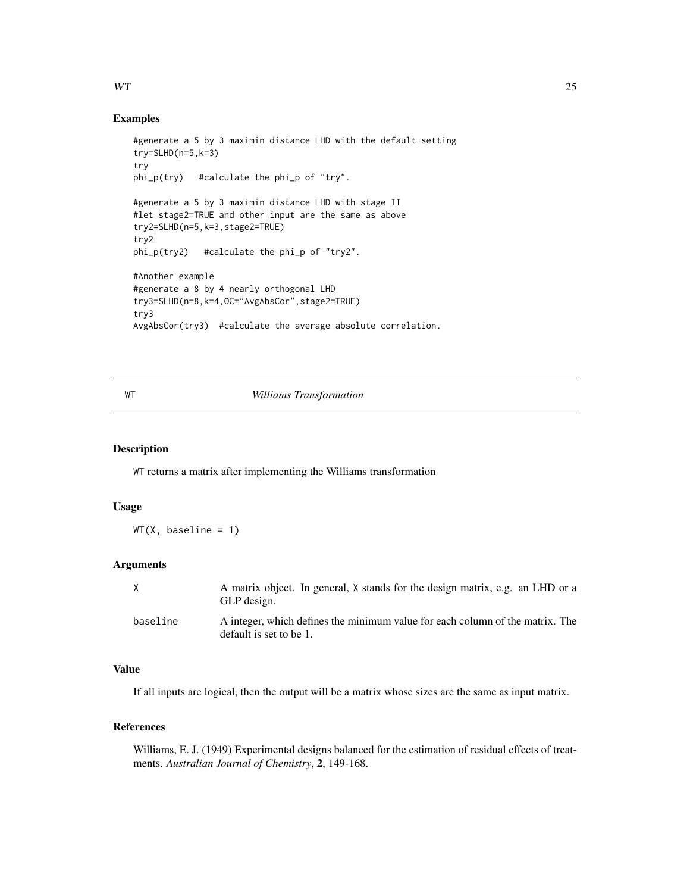#### <span id="page-24-0"></span> $WT$  25

#### Examples

```
#generate a 5 by 3 maximin distance LHD with the default setting
try=SLHD(n=5,k=3)
try
phi_p(try) #calculate the phi_p of "try".
#generate a 5 by 3 maximin distance LHD with stage II
#let stage2=TRUE and other input are the same as above
try2=SLHD(n=5,k=3,stage2=TRUE)
try2
phi_p(try2) #calculate the phi_p of "try2".
#Another example
#generate a 8 by 4 nearly orthogonal LHD
try3=SLHD(n=8,k=4,OC="AvgAbsCor",stage2=TRUE)
try3
AvgAbsCor(try3) #calculate the average absolute correlation.
```
#### WT *Williams Transformation*

#### Description

WT returns a matrix after implementing the Williams transformation

#### Usage

 $WT(X, baseline = 1)$ 

#### Arguments

| X        | A matrix object. In general, X stands for the design matrix, e.g. an LHD or a<br>GLP design.             |
|----------|----------------------------------------------------------------------------------------------------------|
| baseline | A integer, which defines the minimum value for each column of the matrix. The<br>default is set to be 1. |

#### Value

If all inputs are logical, then the output will be a matrix whose sizes are the same as input matrix.

# References

Williams, E. J. (1949) Experimental designs balanced for the estimation of residual effects of treatments. *Australian Journal of Chemistry*, 2, 149-168.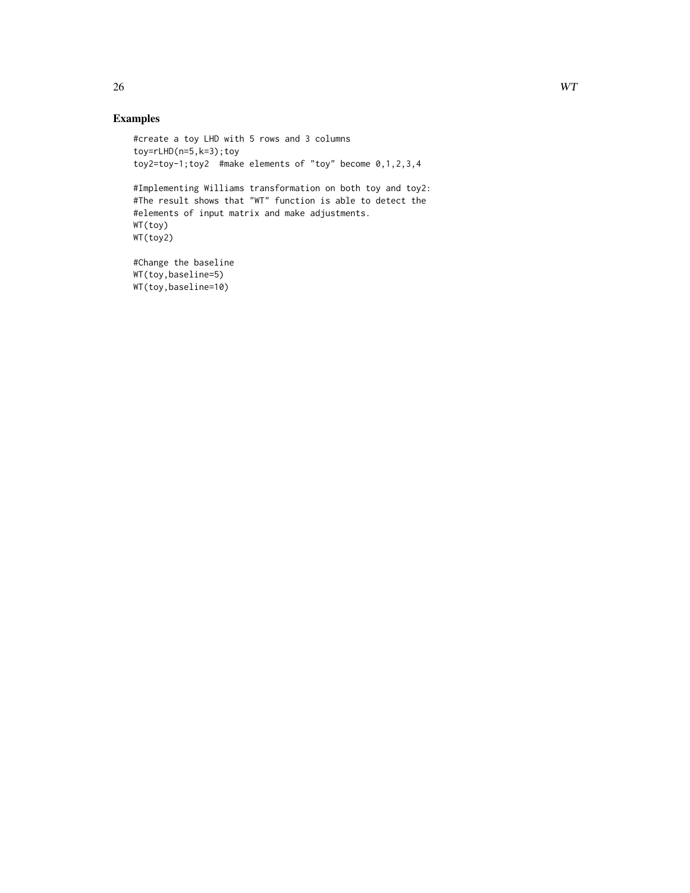# Examples

```
#create a toy LHD with 5 rows and 3 columns
toy=rLHD(n=5,k=3);toy
toy2=toy-1;toy2 #make elements of "toy" become 0, 1, 2, 3, 4#Implementing Williams transformation on both toy and toy2:
#The result shows that "WT" function is able to detect the
#elements of input matrix and make adjustments.
WT(toy)
WT(toy2)
#Change the baseline
WT(toy,baseline=5)
WT(toy,baseline=10)
```